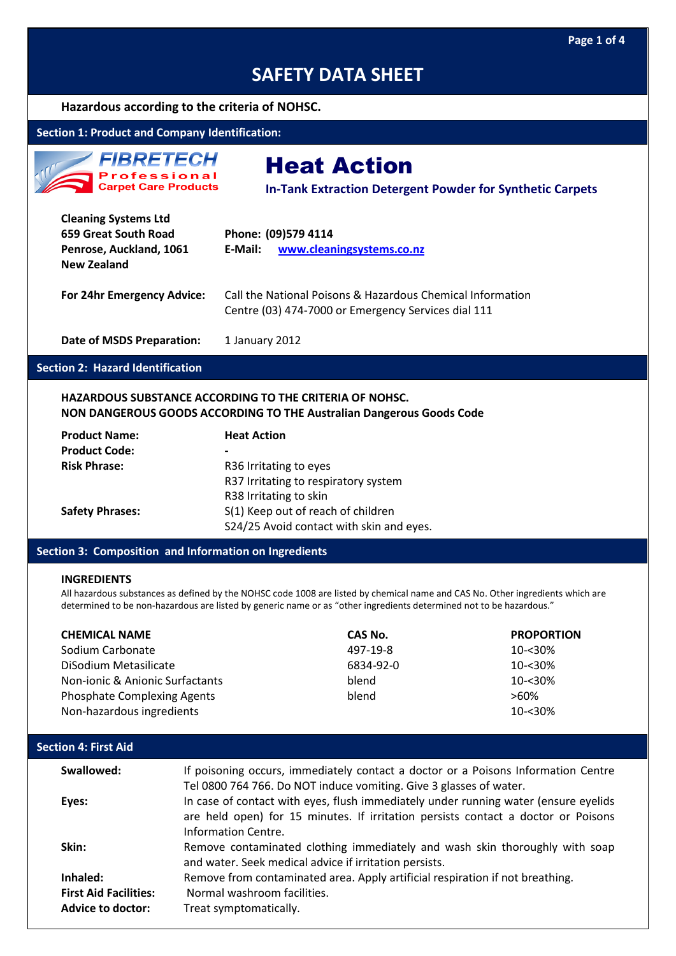## **Hazardous according to the criteria of NOHSC.**

# **Section 1: Product and Company Identification:**



# Heat Action

**In-Tank Extraction Detergent Powder for Synthetic Carpets**

| <b>Cleaning Systems Ltd</b><br>659 Great South Road<br>Penrose, Auckland, 1061<br><b>New Zealand</b> | Phone: (09)579 4114<br>www.cleaningsystems.co.nz<br>E-Mail:                                                       |
|------------------------------------------------------------------------------------------------------|-------------------------------------------------------------------------------------------------------------------|
| For 24hr Emergency Advice:                                                                           | Call the National Poisons & Hazardous Chemical Information<br>Centre (03) 474-7000 or Emergency Services dial 111 |

**Date of MSDS Preparation:** 1 January 2012

# **Section 2: Hazard Identification**

## **HAZARDOUS SUBSTANCE ACCORDING TO THE CRITERIA OF NOHSC. NON DANGEROUS GOODS ACCORDING TO THE Australian Dangerous Goods Code**

| <b>Product Name:</b>   | <b>Heat Action</b>                       |
|------------------------|------------------------------------------|
| <b>Product Code:</b>   |                                          |
| <b>Risk Phrase:</b>    | R36 Irritating to eyes                   |
|                        | R37 Irritating to respiratory system     |
|                        | R38 Irritating to skin                   |
| <b>Safety Phrases:</b> | S(1) Keep out of reach of children       |
|                        | S24/25 Avoid contact with skin and eyes. |

#### **Section 3: Composition and Information on Ingredients**

#### **INGREDIENTS**

All hazardous substances as defined by the NOHSC code 1008 are listed by chemical name and CAS No. Other ingredients which are determined to be non-hazardous are listed by generic name or as "other ingredients determined not to be hazardous."

| <b>CHEMICAL NAME</b>               | CAS No.   | <b>PROPORTION</b> |
|------------------------------------|-----------|-------------------|
| Sodium Carbonate                   | 497-19-8  | 10-<30%           |
| DiSodium Metasilicate              | 6834-92-0 | $10 - 30%$        |
| Non-ionic & Anionic Surfactants    | blend     | $10 - 30%$        |
| <b>Phosphate Complexing Agents</b> | blend     | $>60\%$           |
| Non-hazardous ingredients          |           | $10 - 30%$        |

| <b>Section 4: First Aid</b>                                   |                                                                                                                                                                                                 |  |
|---------------------------------------------------------------|-------------------------------------------------------------------------------------------------------------------------------------------------------------------------------------------------|--|
| Swallowed:                                                    | If poisoning occurs, immediately contact a doctor or a Poisons Information Centre<br>Tel 0800 764 766. Do NOT induce vomiting. Give 3 glasses of water.                                         |  |
| Eyes:                                                         | In case of contact with eyes, flush immediately under running water (ensure eyelids<br>are held open) for 15 minutes. If irritation persists contact a doctor or Poisons<br>Information Centre. |  |
| Skin:                                                         | Remove contaminated clothing immediately and wash skin thoroughly with soap<br>and water. Seek medical advice if irritation persists.                                                           |  |
| Inhaled:<br><b>First Aid Facilities:</b><br>Advice to doctor: | Remove from contaminated area. Apply artificial respiration if not breathing.<br>Normal washroom facilities.<br>Treat symptomatically.                                                          |  |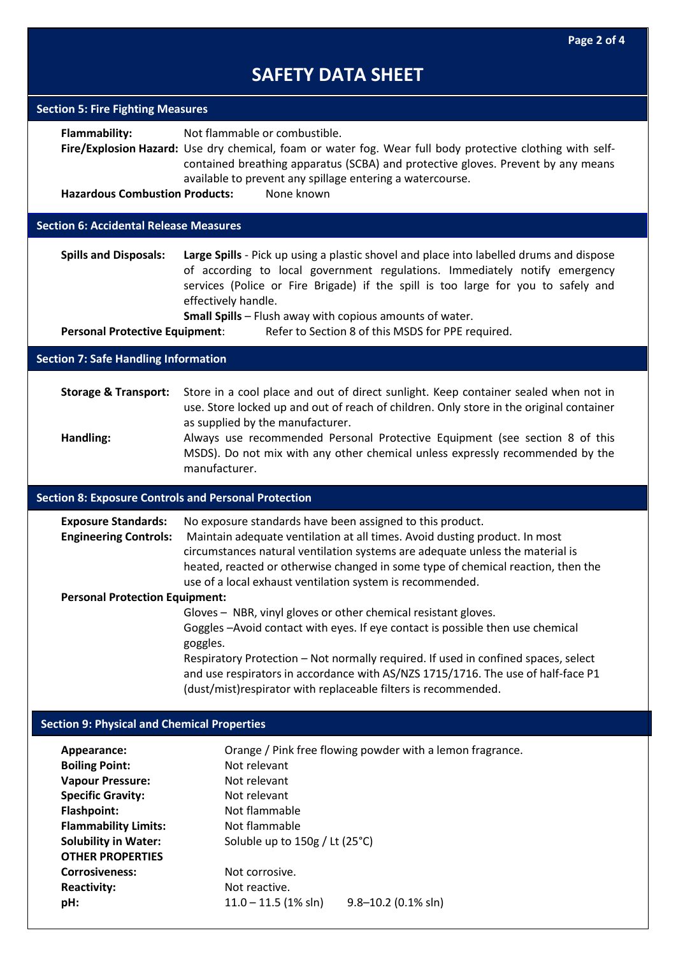| <b>Section 5: Fire Fighting Measures</b>                                                                                                                                                                                                                         |                                                                                                                                                                                                                                                                                                                                                                                                           |  |
|------------------------------------------------------------------------------------------------------------------------------------------------------------------------------------------------------------------------------------------------------------------|-----------------------------------------------------------------------------------------------------------------------------------------------------------------------------------------------------------------------------------------------------------------------------------------------------------------------------------------------------------------------------------------------------------|--|
| <b>Flammability:</b><br><b>Hazardous Combustion Products:</b>                                                                                                                                                                                                    | Not flammable or combustible.<br>Fire/Explosion Hazard: Use dry chemical, foam or water fog. Wear full body protective clothing with self-<br>contained breathing apparatus (SCBA) and protective gloves. Prevent by any means<br>available to prevent any spillage entering a watercourse.<br>None known                                                                                                 |  |
|                                                                                                                                                                                                                                                                  |                                                                                                                                                                                                                                                                                                                                                                                                           |  |
| <b>Section 6: Accidental Release Measures</b>                                                                                                                                                                                                                    |                                                                                                                                                                                                                                                                                                                                                                                                           |  |
| <b>Spills and Disposals:</b><br><b>Personal Protective Equipment:</b>                                                                                                                                                                                            | Large Spills - Pick up using a plastic shovel and place into labelled drums and dispose<br>of according to local government regulations. Immediately notify emergency<br>services (Police or Fire Brigade) if the spill is too large for you to safely and<br>effectively handle.<br><b>Small Spills</b> - Flush away with copious amounts of water.<br>Refer to Section 8 of this MSDS for PPE required. |  |
| <b>Section 7: Safe Handling Information</b>                                                                                                                                                                                                                      |                                                                                                                                                                                                                                                                                                                                                                                                           |  |
|                                                                                                                                                                                                                                                                  |                                                                                                                                                                                                                                                                                                                                                                                                           |  |
| <b>Storage &amp; Transport:</b>                                                                                                                                                                                                                                  | Store in a cool place and out of direct sunlight. Keep container sealed when not in<br>use. Store locked up and out of reach of children. Only store in the original container<br>as supplied by the manufacturer.                                                                                                                                                                                        |  |
| Handling:                                                                                                                                                                                                                                                        | Always use recommended Personal Protective Equipment (see section 8 of this<br>MSDS). Do not mix with any other chemical unless expressly recommended by the<br>manufacturer.                                                                                                                                                                                                                             |  |
| <b>Section 8: Exposure Controls and Personal Protection</b>                                                                                                                                                                                                      |                                                                                                                                                                                                                                                                                                                                                                                                           |  |
|                                                                                                                                                                                                                                                                  |                                                                                                                                                                                                                                                                                                                                                                                                           |  |
| <b>Exposure Standards:</b><br><b>Engineering Controls:</b>                                                                                                                                                                                                       | No exposure standards have been assigned to this product.<br>Maintain adequate ventilation at all times. Avoid dusting product. In most<br>circumstances natural ventilation systems are adequate unless the material is<br>heated, reacted or otherwise changed in some type of chemical reaction, then the                                                                                              |  |
| <b>Personal Protection Equipment:</b>                                                                                                                                                                                                                            | use of a local exhaust ventilation system is recommended.                                                                                                                                                                                                                                                                                                                                                 |  |
|                                                                                                                                                                                                                                                                  | Gloves - NBR, vinyl gloves or other chemical resistant gloves.<br>Goggles-Avoid contact with eyes. If eye contact is possible then use chemical<br>goggles.<br>Respiratory Protection - Not normally required. If used in confined spaces, select<br>and use respirators in accordance with AS/NZS 1715/1716. The use of half-face P1<br>(dust/mist) respirator with replaceable filters is recommended.  |  |
| <b>Section 9: Physical and Chemical Properties</b>                                                                                                                                                                                                               |                                                                                                                                                                                                                                                                                                                                                                                                           |  |
| Appearance:<br><b>Boiling Point:</b><br><b>Vapour Pressure:</b><br><b>Specific Gravity:</b><br><b>Flashpoint:</b><br><b>Flammability Limits:</b><br><b>Solubility in Water:</b><br><b>OTHER PROPERTIES</b><br><b>Corrosiveness:</b><br><b>Reactivity:</b><br>pH: | Orange / Pink free flowing powder with a lemon fragrance.<br>Not relevant<br>Not relevant<br>Not relevant<br>Not flammable<br>Not flammable<br>Soluble up to 150g / Lt (25°C)<br>Not corrosive.<br>Not reactive.<br>$11.0 - 11.5$ (1% sln)<br>$9.8 - 10.2$ (0.1% sln)                                                                                                                                     |  |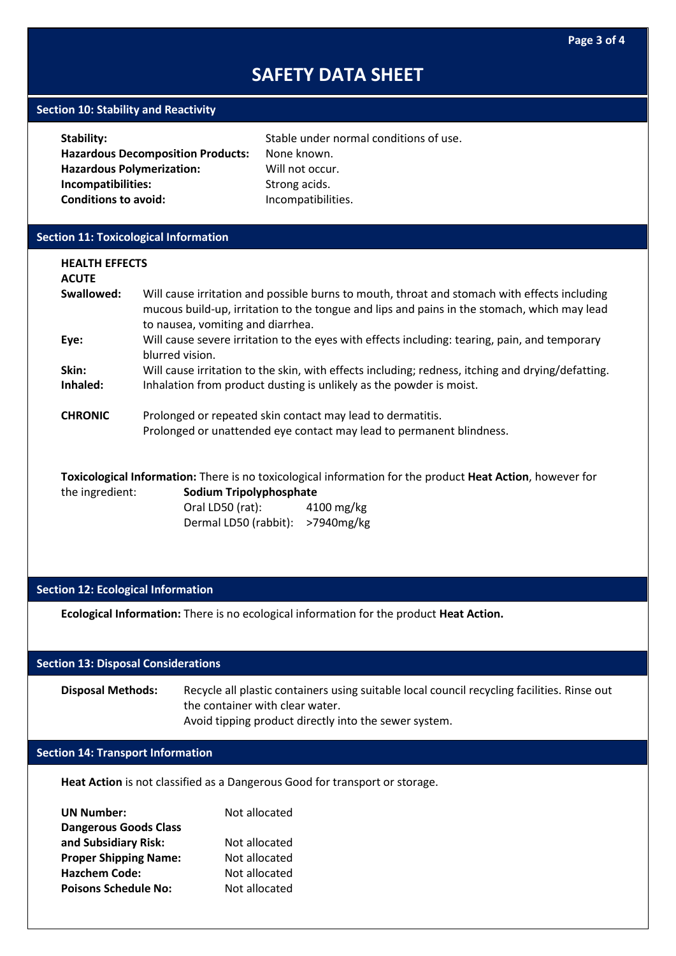## **Section 10: Stability and Reactivity**

| Stability:                               | Stable under normal conditions of use. |
|------------------------------------------|----------------------------------------|
| <b>Hazardous Decomposition Products:</b> | None known.                            |
| <b>Hazardous Polymerization:</b>         | Will not occur.                        |
| Incompatibilities:                       | Strong acids.                          |
| <b>Conditions to avoid:</b>              | Incompatibilities.                     |
|                                          |                                        |

# **Section 11: Toxicological Information**

| <b>HEALTH EFFECTS</b><br><b>ACUTE</b> |                                                                                                                                                                                                                                  |  |  |
|---------------------------------------|----------------------------------------------------------------------------------------------------------------------------------------------------------------------------------------------------------------------------------|--|--|
| Swallowed:                            | Will cause irritation and possible burns to mouth, throat and stomach with effects including<br>mucous build-up, irritation to the tongue and lips and pains in the stomach, which may lead<br>to nausea, vomiting and diarrhea. |  |  |
| Eye:                                  | Will cause severe irritation to the eyes with effects including: tearing, pain, and temporary<br>blurred vision.                                                                                                                 |  |  |
| Skin:<br>Inhaled:                     | Will cause irritation to the skin, with effects including; redness, itching and drying/defatting.<br>Inhalation from product dusting is unlikely as the powder is moist.                                                         |  |  |
| <b>CHRONIC</b>                        | Prolonged or repeated skin contact may lead to dermatitis.<br>Prolonged or unattended eye contact may lead to permanent blindness.                                                                                               |  |  |

**Toxicological Information:** There is no toxicological information for the product **Heat Action**, however for the ingredient: **Sodium Tripolyphosphate** Oral LD50 (rat): 4100 mg/kg Dermal LD50 (rabbit): >7940mg/kg

# **Section 12: Ecological Information**

**Ecological Information:** There is no ecological information for the product **Heat Action.**

### **Section 13: Disposal Considerations**

**Disposal Methods:** Recycle all plastic containers using suitable local council recycling facilities. Rinse out the container with clear water. Avoid tipping product directly into the sewer system.

## **Section 14: Transport Information**

**Heat Action** is not classified as a Dangerous Good for transport or storage.

| <b>UN Number:</b>            | Not allocated |
|------------------------------|---------------|
| <b>Dangerous Goods Class</b> |               |
| and Subsidiary Risk:         | Not allocated |
| <b>Proper Shipping Name:</b> | Not allocated |
| <b>Hazchem Code:</b>         | Not allocated |
| <b>Poisons Schedule No:</b>  | Not allocated |